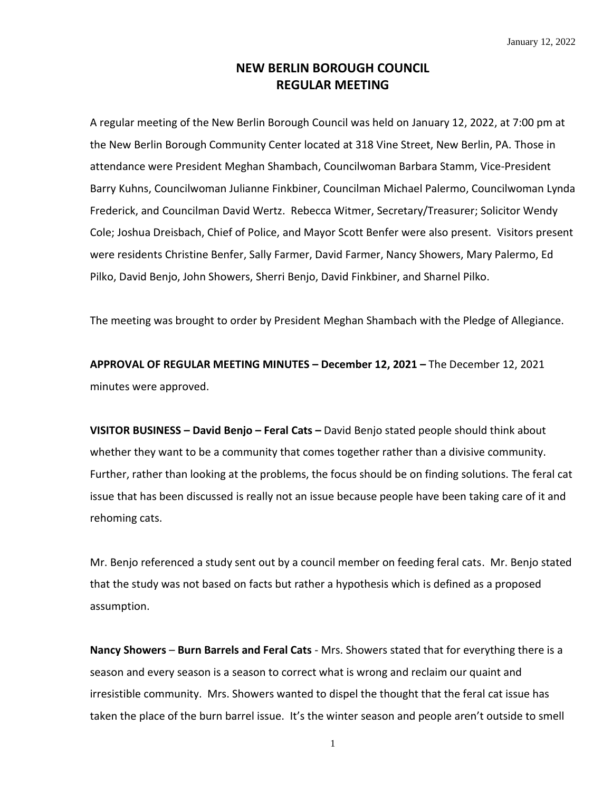## **NEW BERLIN BOROUGH COUNCIL REGULAR MEETING**

A regular meeting of the New Berlin Borough Council was held on January 12, 2022, at 7:00 pm at the New Berlin Borough Community Center located at 318 Vine Street, New Berlin, PA. Those in attendance were President Meghan Shambach, Councilwoman Barbara Stamm, Vice-President Barry Kuhns, Councilwoman Julianne Finkbiner, Councilman Michael Palermo, Councilwoman Lynda Frederick, and Councilman David Wertz. Rebecca Witmer, Secretary/Treasurer; Solicitor Wendy Cole; Joshua Dreisbach, Chief of Police, and Mayor Scott Benfer were also present. Visitors present were residents Christine Benfer, Sally Farmer, David Farmer, Nancy Showers, Mary Palermo, Ed Pilko, David Benjo, John Showers, Sherri Benjo, David Finkbiner, and Sharnel Pilko.

The meeting was brought to order by President Meghan Shambach with the Pledge of Allegiance.

**APPROVAL OF REGULAR MEETING MINUTES – December 12, 2021 –** The December 12, 2021 minutes were approved.

**VISITOR BUSINESS – David Benjo – Feral Cats –** David Benjo stated people should think about whether they want to be a community that comes together rather than a divisive community. Further, rather than looking at the problems, the focus should be on finding solutions. The feral cat issue that has been discussed is really not an issue because people have been taking care of it and rehoming cats.

Mr. Benjo referenced a study sent out by a council member on feeding feral cats. Mr. Benjo stated that the study was not based on facts but rather a hypothesis which is defined as a proposed assumption.

**Nancy Showers** – **Burn Barrels and Feral Cats** - Mrs. Showers stated that for everything there is a season and every season is a season to correct what is wrong and reclaim our quaint and irresistible community. Mrs. Showers wanted to dispel the thought that the feral cat issue has taken the place of the burn barrel issue. It's the winter season and people aren't outside to smell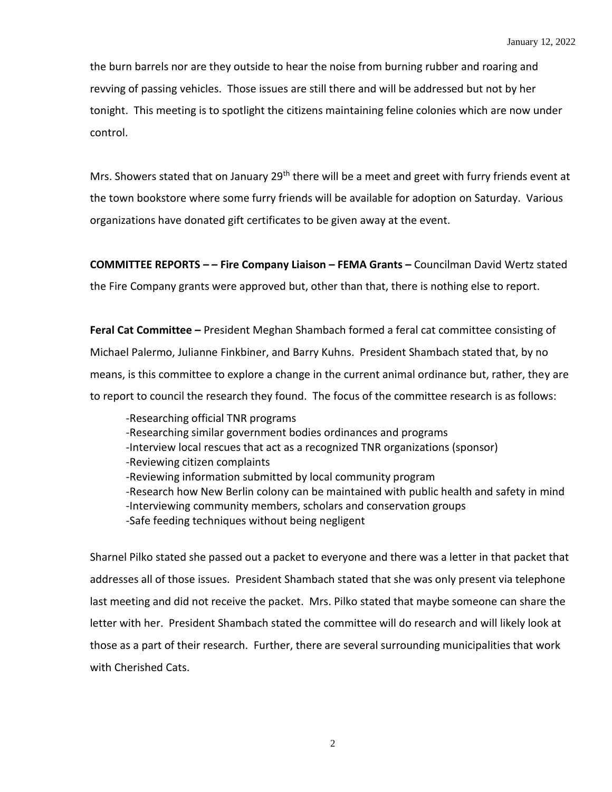the burn barrels nor are they outside to hear the noise from burning rubber and roaring and revving of passing vehicles. Those issues are still there and will be addressed but not by her tonight. This meeting is to spotlight the citizens maintaining feline colonies which are now under control.

Mrs. Showers stated that on January 29<sup>th</sup> there will be a meet and greet with furry friends event at the town bookstore where some furry friends will be available for adoption on Saturday. Various organizations have donated gift certificates to be given away at the event.

**COMMITTEE REPORTS – – Fire Company Liaison – FEMA Grants –** Councilman David Wertz stated the Fire Company grants were approved but, other than that, there is nothing else to report.

**Feral Cat Committee –** President Meghan Shambach formed a feral cat committee consisting of Michael Palermo, Julianne Finkbiner, and Barry Kuhns. President Shambach stated that, by no means, is this committee to explore a change in the current animal ordinance but, rather, they are to report to council the research they found. The focus of the committee research is as follows:

-Researching official TNR programs -Researching similar government bodies ordinances and programs -Interview local rescues that act as a recognized TNR organizations (sponsor) -Reviewing citizen complaints -Reviewing information submitted by local community program -Research how New Berlin colony can be maintained with public health and safety in mind -Interviewing community members, scholars and conservation groups -Safe feeding techniques without being negligent

Sharnel Pilko stated she passed out a packet to everyone and there was a letter in that packet that addresses all of those issues. President Shambach stated that she was only present via telephone last meeting and did not receive the packet. Mrs. Pilko stated that maybe someone can share the letter with her. President Shambach stated the committee will do research and will likely look at those as a part of their research. Further, there are several surrounding municipalities that work with Cherished Cats.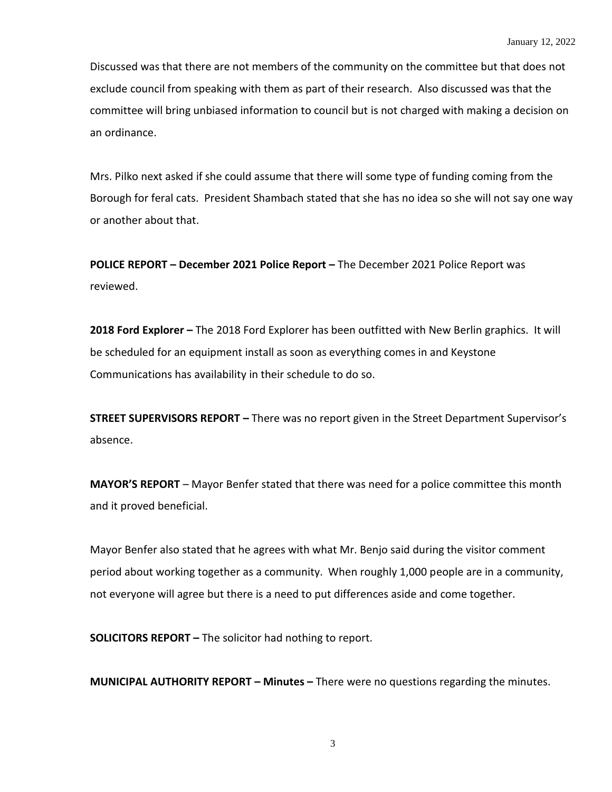Discussed was that there are not members of the community on the committee but that does not exclude council from speaking with them as part of their research. Also discussed was that the committee will bring unbiased information to council but is not charged with making a decision on an ordinance.

Mrs. Pilko next asked if she could assume that there will some type of funding coming from the Borough for feral cats. President Shambach stated that she has no idea so she will not say one way or another about that.

**POLICE REPORT – December 2021 Police Report –** The December 2021 Police Report was reviewed.

**2018 Ford Explorer –** The 2018 Ford Explorer has been outfitted with New Berlin graphics. It will be scheduled for an equipment install as soon as everything comes in and Keystone Communications has availability in their schedule to do so.

**STREET SUPERVISORS REPORT –** There was no report given in the Street Department Supervisor's absence.

**MAYOR'S REPORT** – Mayor Benfer stated that there was need for a police committee this month and it proved beneficial.

Mayor Benfer also stated that he agrees with what Mr. Benjo said during the visitor comment period about working together as a community. When roughly 1,000 people are in a community, not everyone will agree but there is a need to put differences aside and come together.

**SOLICITORS REPORT –** The solicitor had nothing to report.

**MUNICIPAL AUTHORITY REPORT – Minutes –** There were no questions regarding the minutes.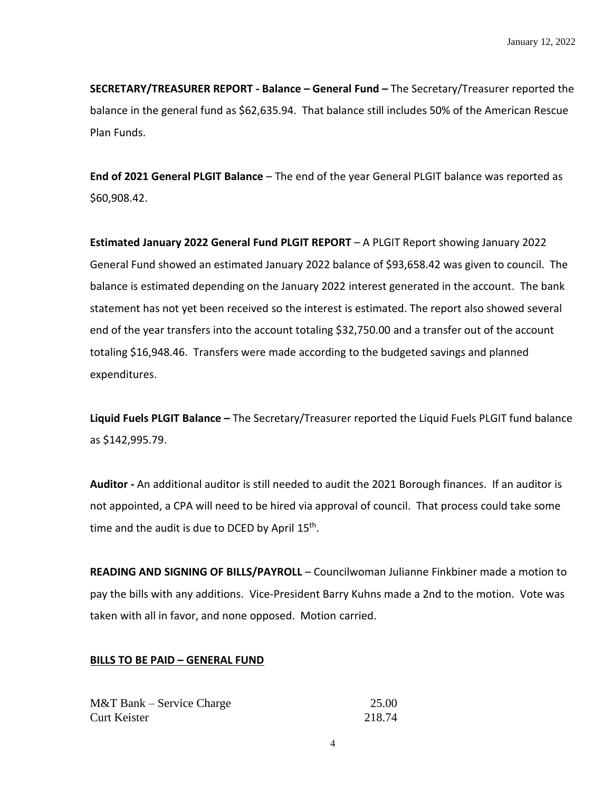**SECRETARY/TREASURER REPORT - Balance – General Fund –** The Secretary/Treasurer reported the balance in the general fund as \$62,635.94. That balance still includes 50% of the American Rescue Plan Funds.

**End of 2021 General PLGIT Balance** – The end of the year General PLGIT balance was reported as \$60,908.42.

**Estimated January 2022 General Fund PLGIT REPORT** – A PLGIT Report showing January 2022 General Fund showed an estimated January 2022 balance of \$93,658.42 was given to council. The balance is estimated depending on the January 2022 interest generated in the account. The bank statement has not yet been received so the interest is estimated. The report also showed several end of the year transfers into the account totaling \$32,750.00 and a transfer out of the account totaling \$16,948.46. Transfers were made according to the budgeted savings and planned expenditures.

**Liquid Fuels PLGIT Balance –** The Secretary/Treasurer reported the Liquid Fuels PLGIT fund balance as \$142,995.79.

**Auditor -** An additional auditor is still needed to audit the 2021 Borough finances. If an auditor is not appointed, a CPA will need to be hired via approval of council. That process could take some time and the audit is due to DCED by April 15<sup>th</sup>.

**READING AND SIGNING OF BILLS/PAYROLL** – Councilwoman Julianne Finkbiner made a motion to pay the bills with any additions. Vice-President Barry Kuhns made a 2nd to the motion. Vote was taken with all in favor, and none opposed. Motion carried.

## **BILLS TO BE PAID – GENERAL FUND**

| $M&T$ Bank – Service Charge | 25.00  |
|-----------------------------|--------|
| Curt Keister                | 218.74 |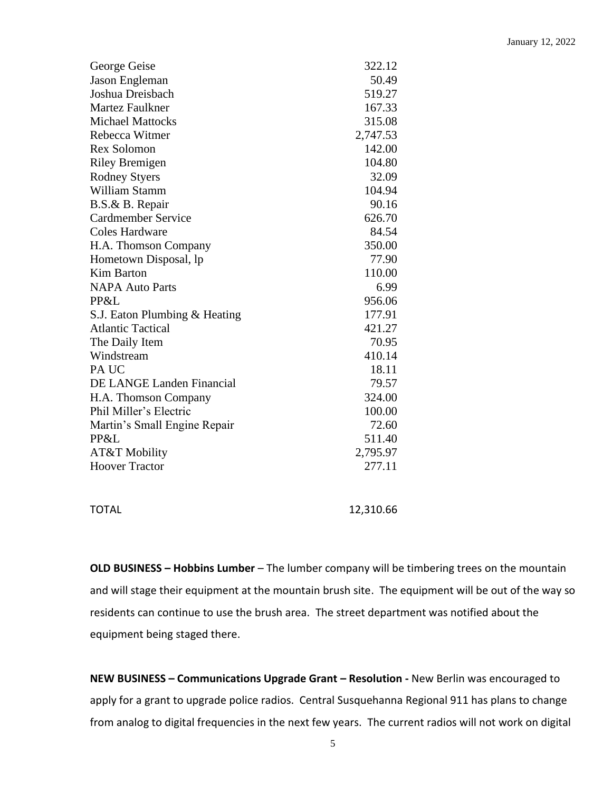| George Geise                  | 322.12   |
|-------------------------------|----------|
| Jason Engleman                | 50.49    |
| Joshua Dreisbach              | 519.27   |
| <b>Martez Faulkner</b>        | 167.33   |
| <b>Michael Mattocks</b>       | 315.08   |
| Rebecca Witmer                | 2,747.53 |
| <b>Rex Solomon</b>            | 142.00   |
| <b>Riley Bremigen</b>         | 104.80   |
| <b>Rodney Styers</b>          | 32.09    |
| William Stamm                 | 104.94   |
| B.S.& B. Repair               | 90.16    |
| Cardmember Service            | 626.70   |
| <b>Coles Hardware</b>         | 84.54    |
| H.A. Thomson Company          | 350.00   |
| Hometown Disposal, lp         | 77.90    |
| <b>Kim Barton</b>             | 110.00   |
| <b>NAPA Auto Parts</b>        | 6.99     |
| PP&L                          | 956.06   |
| S.J. Eaton Plumbing & Heating | 177.91   |
| <b>Atlantic Tactical</b>      | 421.27   |
| The Daily Item                | 70.95    |
| Windstream                    | 410.14   |
| PA UC                         | 18.11    |
| DE LANGE Landen Financial     | 79.57    |
| H.A. Thomson Company          | 324.00   |
| Phil Miller's Electric        | 100.00   |
| Martin's Small Engine Repair  | 72.60    |
| PP&L                          | 511.40   |
| <b>AT&amp;T Mobility</b>      | 2,795.97 |
| <b>Hoover Tractor</b>         | 277.11   |
|                               |          |

TOTAL 12,310.66

**OLD BUSINESS – Hobbins Lumber** – The lumber company will be timbering trees on the mountain and will stage their equipment at the mountain brush site. The equipment will be out of the way so residents can continue to use the brush area. The street department was notified about the equipment being staged there.

**NEW BUSINESS – Communications Upgrade Grant – Resolution -** New Berlin was encouraged to apply for a grant to upgrade police radios. Central Susquehanna Regional 911 has plans to change from analog to digital frequencies in the next few years. The current radios will not work on digital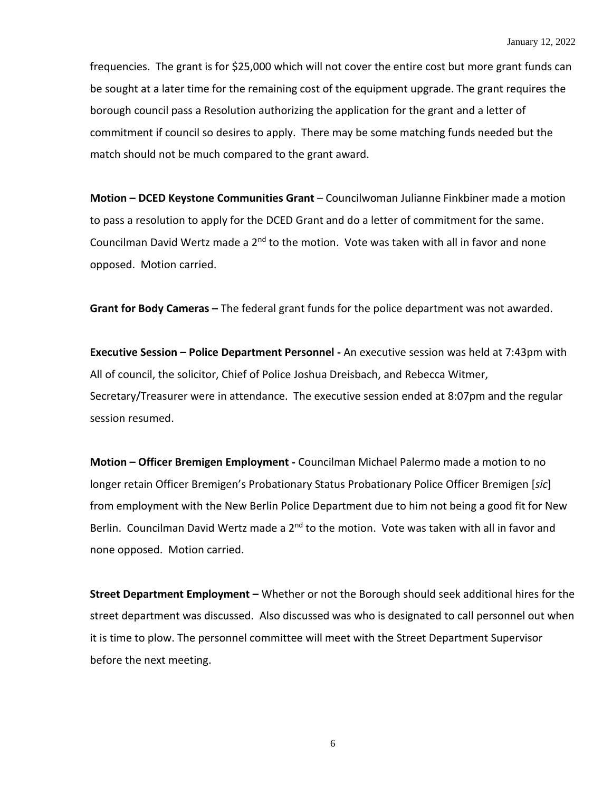frequencies. The grant is for \$25,000 which will not cover the entire cost but more grant funds can be sought at a later time for the remaining cost of the equipment upgrade. The grant requires the borough council pass a Resolution authorizing the application for the grant and a letter of commitment if council so desires to apply. There may be some matching funds needed but the match should not be much compared to the grant award.

**Motion – DCED Keystone Communities Grant** – Councilwoman Julianne Finkbiner made a motion to pass a resolution to apply for the DCED Grant and do a letter of commitment for the same. Councilman David Wertz made a 2<sup>nd</sup> to the motion. Vote was taken with all in favor and none opposed. Motion carried.

**Grant for Body Cameras –** The federal grant funds for the police department was not awarded.

**Executive Session – Police Department Personnel -** An executive session was held at 7:43pm with All of council, the solicitor, Chief of Police Joshua Dreisbach, and Rebecca Witmer, Secretary/Treasurer were in attendance. The executive session ended at 8:07pm and the regular session resumed.

**Motion – Officer Bremigen Employment -** Councilman Michael Palermo made a motion to no longer retain Officer Bremigen's Probationary Status Probationary Police Officer Bremigen [*sic*] from employment with the New Berlin Police Department due to him not being a good fit for New Berlin. Councilman David Wertz made a 2<sup>nd</sup> to the motion. Vote was taken with all in favor and none opposed. Motion carried.

**Street Department Employment –** Whether or not the Borough should seek additional hires for the street department was discussed. Also discussed was who is designated to call personnel out when it is time to plow. The personnel committee will meet with the Street Department Supervisor before the next meeting.

6